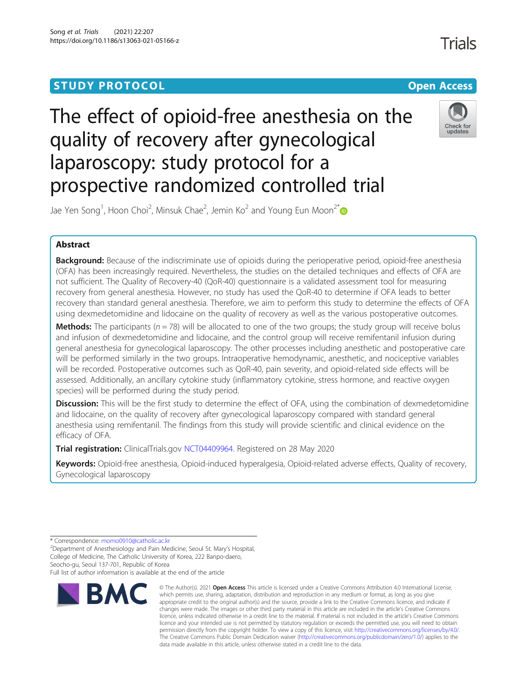# **STUDY PROTOCOL CONSUMING THE RESERVE ACCESS**

# The effect of opioid-free anesthesia on the quality of recovery after gynecological laparoscopy: study protocol for a prospective randomized controlled trial



Jae Yen Song<sup>1</sup>, Hoon Choi<sup>2</sup>, Minsuk Chae<sup>2</sup>, Jemin Ko<sup>2</sup> and Young Eun Moon<sup>2[\\*](http://orcid.org/0000-0001-5141-2652)</sup>

# Abstract

**Background:** Because of the indiscriminate use of opioids during the perioperative period, opioid-free anesthesia (OFA) has been increasingly required. Nevertheless, the studies on the detailed techniques and effects of OFA are not sufficient. The Quality of Recovery-40 (QoR-40) questionnaire is a validated assessment tool for measuring recovery from general anesthesia. However, no study has used the QoR-40 to determine if OFA leads to better recovery than standard general anesthesia. Therefore, we aim to perform this study to determine the effects of OFA using dexmedetomidine and lidocaine on the quality of recovery as well as the various postoperative outcomes.

**Methods:** The participants ( $n = 78$ ) will be allocated to one of the two groups; the study group will receive bolus and infusion of dexmedetomidine and lidocaine, and the control group will receive remifentanil infusion during general anesthesia for gynecological laparoscopy. The other processes including anesthetic and postoperative care will be performed similarly in the two groups. Intraoperative hemodynamic, anesthetic, and nociceptive variables will be recorded. Postoperative outcomes such as QoR-40, pain severity, and opioid-related side effects will be assessed. Additionally, an ancillary cytokine study (inflammatory cytokine, stress hormone, and reactive oxygen species) will be performed during the study period.

Discussion: This will be the first study to determine the effect of OFA, using the combination of dexmedetomidine and lidocaine, on the quality of recovery after gynecological laparoscopy compared with standard general anesthesia using remifentanil. The findings from this study will provide scientific and clinical evidence on the efficacy of OFA.

Trial registration: ClinicalTrials.gov [NCT04409964](https://clinicaltrials.gov/ct2/show/NCT04409964). Registered on 28 May 2020

Keywords: Opioid-free anesthesia, Opioid-induced hyperalgesia, Opioid-related adverse effects, Quality of recovery, Gynecological laparoscopy

Full list of author information is available at the end of the article



<sup>©</sup> The Author(s), 2021 **Open Access** This article is licensed under a Creative Commons Attribution 4.0 International License, which permits use, sharing, adaptation, distribution and reproduction in any medium or format, as long as you give appropriate credit to the original author(s) and the source, provide a link to the Creative Commons licence, and indicate if changes were made. The images or other third party material in this article are included in the article's Creative Commons licence, unless indicated otherwise in a credit line to the material. If material is not included in the article's Creative Commons licence and your intended use is not permitted by statutory regulation or exceeds the permitted use, you will need to obtain permission directly from the copyright holder. To view a copy of this licence, visit [http://creativecommons.org/licenses/by/4.0/.](http://creativecommons.org/licenses/by/4.0/) The Creative Commons Public Domain Dedication waiver [\(http://creativecommons.org/publicdomain/zero/1.0/](http://creativecommons.org/publicdomain/zero/1.0/)) applies to the data made available in this article, unless otherwise stated in a credit line to the data.

Trials

<sup>\*</sup> Correspondence: [momo0910@catholic.ac.kr](mailto:momo0910@catholic.ac.kr)<br><sup>2</sup>Department of Anesthesiology and Pain Medicine, Seoul St. Mary's Hospital, College of Medicine, The Catholic University of Korea, 222 Banpo-daero, Seocho-gu, Seoul 137-701, Republic of Korea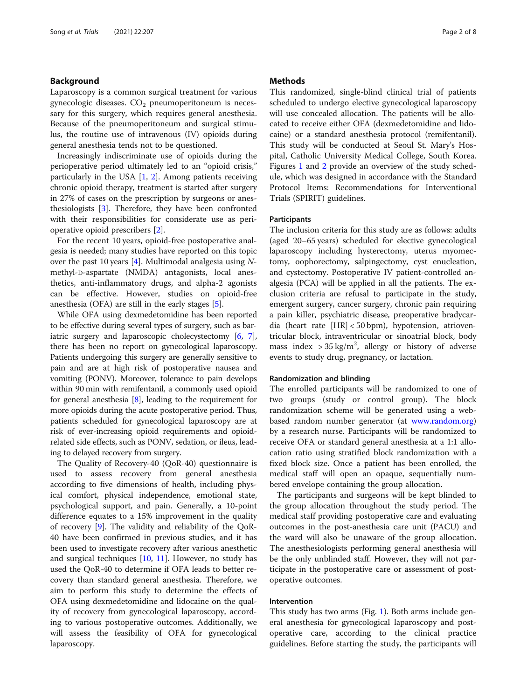# Background

Laparoscopy is a common surgical treatment for various gynecologic diseases.  $CO<sub>2</sub>$  pneumoperitoneum is necessary for this surgery, which requires general anesthesia. Because of the pneumoperitoneum and surgical stimulus, the routine use of intravenous (IV) opioids during general anesthesia tends not to be questioned.

Increasingly indiscriminate use of opioids during the perioperative period ultimately led to an "opioid crisis," particularly in the USA  $[1, 2]$  $[1, 2]$  $[1, 2]$ . Among patients receiving chronic opioid therapy, treatment is started after surgery in 27% of cases on the prescription by surgeons or anesthesiologists [[3](#page-6-0)]. Therefore, they have been confronted with their responsibilities for considerate use as perioperative opioid prescribers [[2](#page-6-0)].

For the recent 10 years, opioid-free postoperative analgesia is needed; many studies have reported on this topic over the past 10 years [\[4](#page-6-0)]. Multimodal analgesia using  $N$ methyl-D-aspartate (NMDA) antagonists, local anesthetics, anti-inflammatory drugs, and alpha-2 agonists can be effective. However, studies on opioid-free anesthesia (OFA) are still in the early stages  $[5]$  $[5]$ .

While OFA using dexmedetomidine has been reported to be effective during several types of surgery, such as bariatric surgery and laparoscopic cholecystectomy [\[6,](#page-6-0) [7](#page-6-0)], there has been no report on gynecological laparoscopy. Patients undergoing this surgery are generally sensitive to pain and are at high risk of postoperative nausea and vomiting (PONV). Moreover, tolerance to pain develops within 90 min with remifentanil, a commonly used opioid for general anesthesia [[8\]](#page-6-0), leading to the requirement for more opioids during the acute postoperative period. Thus, patients scheduled for gynecological laparoscopy are at risk of ever-increasing opioid requirements and opioidrelated side effects, such as PONV, sedation, or ileus, leading to delayed recovery from surgery.

The Quality of Recovery-40 (QoR-40) questionnaire is used to assess recovery from general anesthesia according to five dimensions of health, including physical comfort, physical independence, emotional state, psychological support, and pain. Generally, a 10-point difference equates to a 15% improvement in the quality of recovery [\[9](#page-6-0)]. The validity and reliability of the QoR-40 have been confirmed in previous studies, and it has been used to investigate recovery after various anesthetic and surgical techniques [[10,](#page-6-0) [11](#page-6-0)]. However, no study has used the QoR-40 to determine if OFA leads to better recovery than standard general anesthesia. Therefore, we aim to perform this study to determine the effects of OFA using dexmedetomidine and lidocaine on the quality of recovery from gynecological laparoscopy, according to various postoperative outcomes. Additionally, we will assess the feasibility of OFA for gynecological laparoscopy.

# **Methods**

This randomized, single-blind clinical trial of patients scheduled to undergo elective gynecological laparoscopy will use concealed allocation. The patients will be allocated to receive either OFA (dexmedetomidine and lidocaine) or a standard anesthesia protocol (remifentanil). This study will be conducted at Seoul St. Mary's Hospital, Catholic University Medical College, South Korea. Figures [1](#page-2-0) and [2](#page-3-0) provide an overview of the study schedule, which was designed in accordance with the Standard Protocol Items: Recommendations for Interventional Trials (SPIRIT) guidelines.

# **Participants**

The inclusion criteria for this study are as follows: adults (aged 20–65 years) scheduled for elective gynecological laparoscopy including hysterectomy, uterus myomectomy, oophorectomy, salpingectomy, cyst enucleation, and cystectomy. Postoperative IV patient-controlled analgesia (PCA) will be applied in all the patients. The exclusion criteria are refusal to participate in the study, emergent surgery, cancer surgery, chronic pain requiring a pain killer, psychiatric disease, preoperative bradycardia (heart rate [HR] < 50 bpm), hypotension, atrioventricular block, intraventricular or sinoatrial block, body mass index  $>$  35 kg/m<sup>2</sup>, allergy or history of adverse events to study drug, pregnancy, or lactation.

# Randomization and blinding

The enrolled participants will be randomized to one of two groups (study or control group). The block randomization scheme will be generated using a webbased random number generator (at [www.random.org](http://www.random.org)) by a research nurse. Participants will be randomized to receive OFA or standard general anesthesia at a 1:1 allocation ratio using stratified block randomization with a fixed block size. Once a patient has been enrolled, the medical staff will open an opaque, sequentially numbered envelope containing the group allocation.

The participants and surgeons will be kept blinded to the group allocation throughout the study period. The medical staff providing postoperative care and evaluating outcomes in the post-anesthesia care unit (PACU) and the ward will also be unaware of the group allocation. The anesthesiologists performing general anesthesia will be the only unblinded staff. However, they will not participate in the postoperative care or assessment of postoperative outcomes.

# Intervention

This study has two arms (Fig. [1\)](#page-3-0). Both arms include general anesthesia for gynecological laparoscopy and postoperative care, according to the clinical practice guidelines. Before starting the study, the participants will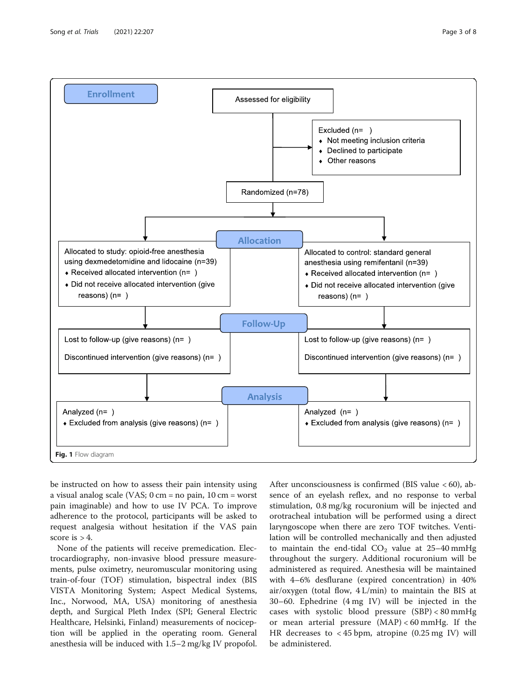<span id="page-2-0"></span>

be instructed on how to assess their pain intensity using a visual analog scale (VAS; 0 cm = no pain, 10 cm = worst pain imaginable) and how to use IV PCA. To improve adherence to the protocol, participants will be asked to request analgesia without hesitation if the VAS pain score is  $> 4$ .

None of the patients will receive premedication. Electrocardiography, non-invasive blood pressure measurements, pulse oximetry, neuromuscular monitoring using train-of-four (TOF) stimulation, bispectral index (BIS VISTA Monitoring System; Aspect Medical Systems, Inc., Norwood, MA, USA) monitoring of anesthesia depth, and Surgical Pleth Index (SPI; General Electric Healthcare, Helsinki, Finland) measurements of nociception will be applied in the operating room. General anesthesia will be induced with 1.5–2 mg/kg IV propofol. After unconsciousness is confirmed (BIS value < 60), absence of an eyelash reflex, and no response to verbal stimulation, 0.8 mg/kg rocuronium will be injected and orotracheal intubation will be performed using a direct laryngoscope when there are zero TOF twitches. Ventilation will be controlled mechanically and then adjusted to maintain the end-tidal  $CO<sub>2</sub>$  value at 25-40 mmHg throughout the surgery. Additional rocuronium will be administered as required. Anesthesia will be maintained with 4–6% desflurane (expired concentration) in 40% air/oxygen (total flow, 4 L/min) to maintain the BIS at 30–60. Ephedrine (4 mg IV) will be injected in the cases with systolic blood pressure (SBP) < 80 mmHg or mean arterial pressure (MAP) < 60 mmHg. If the HR decreases to < 45 bpm, atropine (0.25 mg IV) will be administered.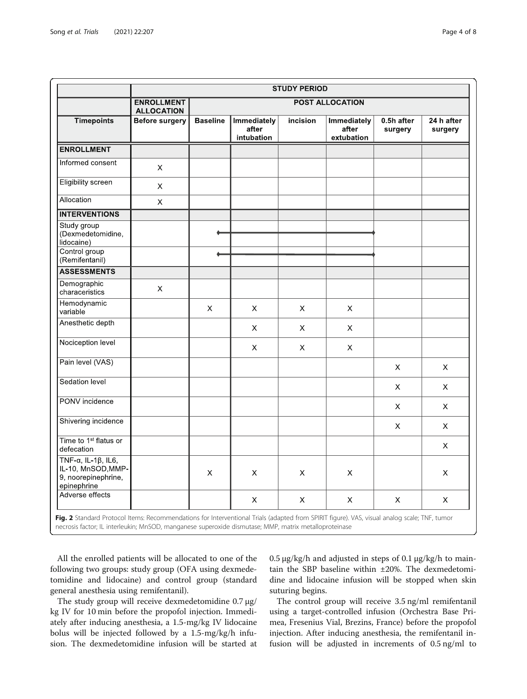<span id="page-3-0"></span>

|                                                                                                 | <b>STUDY PERIOD</b>                                              |                 |                                    |             |                                    |                       |                       |
|-------------------------------------------------------------------------------------------------|------------------------------------------------------------------|-----------------|------------------------------------|-------------|------------------------------------|-----------------------|-----------------------|
|                                                                                                 | <b>POST ALLOCATION</b><br><b>ENROLLMENT</b><br><b>ALLOCATION</b> |                 |                                    |             |                                    |                       |                       |
| <b>Timepoints</b>                                                                               | <b>Before surgery</b>                                            | <b>Baseline</b> | Immediately<br>after<br>intubation | incision    | Immediately<br>after<br>extubation | 0.5h after<br>surgery | 24 h after<br>surgery |
| <b>ENROLLMENT</b>                                                                               |                                                                  |                 |                                    |             |                                    |                       |                       |
| Informed consent                                                                                | $\mathsf X$                                                      |                 |                                    |             |                                    |                       |                       |
| <b>Eligibility screen</b>                                                                       | $\mathsf X$                                                      |                 |                                    |             |                                    |                       |                       |
| Allocation                                                                                      | X                                                                |                 |                                    |             |                                    |                       |                       |
| <b>INTERVENTIONS</b>                                                                            |                                                                  |                 |                                    |             |                                    |                       |                       |
| Study group<br>(Dexmedetomidine,<br>lidocaine)<br>Control group<br>(Remifentanil)               |                                                                  | ۰               |                                    |             |                                    |                       |                       |
| <b>ASSESSMENTS</b>                                                                              |                                                                  |                 |                                    |             |                                    |                       |                       |
| Demographic<br>characeristics                                                                   | X                                                                |                 |                                    |             |                                    |                       |                       |
| Hemodynamic<br>variable                                                                         |                                                                  | X               | X.                                 | X           | X                                  |                       |                       |
| Anesthetic depth                                                                                |                                                                  |                 | $\boldsymbol{\mathsf{X}}$          | $\mathsf X$ | $\boldsymbol{\mathsf{X}}$          |                       |                       |
| Nociception level                                                                               |                                                                  |                 | $\boldsymbol{\mathsf{X}}$          | $\mathsf X$ | X                                  |                       |                       |
| Pain level (VAS)                                                                                |                                                                  |                 |                                    |             |                                    | X                     | X                     |
| Sedation level                                                                                  |                                                                  |                 |                                    |             |                                    | X                     | X                     |
| PONV incidence                                                                                  |                                                                  |                 |                                    |             |                                    | X.                    | X                     |
| Shivering incidence                                                                             |                                                                  |                 |                                    |             |                                    | X                     | X                     |
| Time to 1 <sup>st</sup> flatus or<br>defecation                                                 |                                                                  |                 |                                    |             |                                    |                       | X                     |
| TNF- $\alpha$ , IL-1 $\beta$ , IL6,<br>IL-10, MnSOD, MMP-<br>9, noorepinephrine,<br>epinephrine |                                                                  | X               | X                                  | X           | X                                  |                       | X                     |
| Adverse effects                                                                                 |                                                                  |                 | X                                  | $\mathsf X$ | $\mathsf X$                        | $\times$              | X                     |

necrosis factor; IL interleukin; MnSOD, manganese superoxide dismutase; MMP, matrix metalloproteinase

All the enrolled patients will be allocated to one of the following two groups: study group (OFA using dexmedetomidine and lidocaine) and control group (standard general anesthesia using remifentanil).

The study group will receive dexmedetomidine 0.7 μg/ kg IV for 10 min before the propofol injection. Immediately after inducing anesthesia, a 1.5-mg/kg IV lidocaine bolus will be injected followed by a 1.5-mg/kg/h infusion. The dexmedetomidine infusion will be started at  $0.5 \mu$ g/kg/h and adjusted in steps of 0.1  $\mu$ g/kg/h to maintain the SBP baseline within ±20%. The dexmedetomidine and lidocaine infusion will be stopped when skin suturing begins.

The control group will receive 3.5 ng/ml remifentanil using a target-controlled infusion (Orchestra Base Primea, Fresenius Vial, Brezins, France) before the propofol injection. After inducing anesthesia, the remifentanil infusion will be adjusted in increments of 0.5 ng/ml to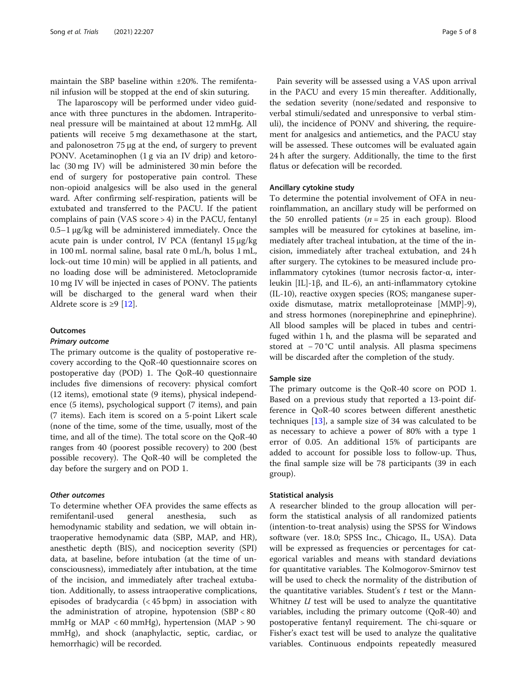maintain the SBP baseline within ±20%. The remifentanil infusion will be stopped at the end of skin suturing.

The laparoscopy will be performed under video guidance with three punctures in the abdomen. Intraperitoneal pressure will be maintained at about 12 mmHg. All patients will receive 5 mg dexamethasone at the start, and palonosetron 75 μg at the end, of surgery to prevent PONV. Acetaminophen (1 g via an IV drip) and ketorolac (30 mg IV) will be administered 30 min before the end of surgery for postoperative pain control. These non-opioid analgesics will be also used in the general ward. After confirming self-respiration, patients will be extubated and transferred to the PACU. If the patient complains of pain (VAS score > 4) in the PACU, fentanyl 0.5–1 μg/kg will be administered immediately. Once the acute pain is under control, IV PCA (fentanyl 15 μg/kg in 100 mL normal saline, basal rate 0 mL/h, bolus 1 mL, lock-out time 10 min) will be applied in all patients, and no loading dose will be administered. Metoclopramide 10 mg IV will be injected in cases of PONV. The patients will be discharged to the general ward when their Aldrete score is  $\geq 9$  [\[12\]](#page-6-0).

# **Outcomes**

# Primary outcome

The primary outcome is the quality of postoperative recovery according to the QoR-40 questionnaire scores on postoperative day (POD) 1. The QoR-40 questionnaire includes five dimensions of recovery: physical comfort (12 items), emotional state (9 items), physical independence (5 items), psychological support (7 items), and pain (7 items). Each item is scored on a 5-point Likert scale (none of the time, some of the time, usually, most of the time, and all of the time). The total score on the QoR-40 ranges from 40 (poorest possible recovery) to 200 (best possible recovery). The QoR-40 will be completed the day before the surgery and on POD 1.

# Other outcomes

To determine whether OFA provides the same effects as remifentanil-used general anesthesia, such as hemodynamic stability and sedation, we will obtain intraoperative hemodynamic data (SBP, MAP, and HR), anesthetic depth (BIS), and nociception severity (SPI) data, at baseline, before intubation (at the time of unconsciousness), immediately after intubation, at the time of the incision, and immediately after tracheal extubation. Additionally, to assess intraoperative complications, episodes of bradycardia (< 45 bpm) in association with the administration of atropine, hypotension (SBP < 80 mmHg or  $MAP < 60$  mmHg), hypertension (MAP  $> 90$ mmHg), and shock (anaphylactic, septic, cardiac, or hemorrhagic) will be recorded.

Pain severity will be assessed using a VAS upon arrival in the PACU and every 15 min thereafter. Additionally, the sedation severity (none/sedated and responsive to verbal stimuli/sedated and unresponsive to verbal stimuli), the incidence of PONV and shivering, the requirement for analgesics and antiemetics, and the PACU stay will be assessed. These outcomes will be evaluated again 24 h after the surgery. Additionally, the time to the first flatus or defecation will be recorded.

# Ancillary cytokine study

To determine the potential involvement of OFA in neuroinflammation, an ancillary study will be performed on the 50 enrolled patients  $(n = 25$  in each group). Blood samples will be measured for cytokines at baseline, immediately after tracheal intubation, at the time of the incision, immediately after tracheal extubation, and 24 h after surgery. The cytokines to be measured include proinflammatory cytokines (tumor necrosis factor-α, interleukin [IL]-1β, and IL-6), an anti-inflammatory cytokine (IL-10), reactive oxygen species (ROS; manganese superoxide dismutase, matrix metalloproteinase [MMP]-9), and stress hormones (norepinephrine and epinephrine). All blood samples will be placed in tubes and centrifuged within 1 h, and the plasma will be separated and stored at − 70 °C until analysis. All plasma specimens will be discarded after the completion of the study.

# Sample size

The primary outcome is the QoR-40 score on POD 1. Based on a previous study that reported a 13-point difference in QoR-40 scores between different anesthetic techniques [\[13\]](#page-6-0), a sample size of 34 was calculated to be as necessary to achieve a power of 80% with a type 1 error of 0.05. An additional 15% of participants are added to account for possible loss to follow-up. Thus, the final sample size will be 78 participants (39 in each group).

### Statistical analysis

A researcher blinded to the group allocation will perform the statistical analysis of all randomized patients (intention-to-treat analysis) using the SPSS for Windows software (ver. 18.0; SPSS Inc., Chicago, IL, USA). Data will be expressed as frequencies or percentages for categorical variables and means with standard deviations for quantitative variables. The Kolmogorov-Smirnov test will be used to check the normality of the distribution of the quantitative variables. Student's  $t$  test or the Mann-Whitney  $U$  test will be used to analyze the quantitative variables, including the primary outcome (QoR-40) and postoperative fentanyl requirement. The chi-square or Fisher's exact test will be used to analyze the qualitative variables. Continuous endpoints repeatedly measured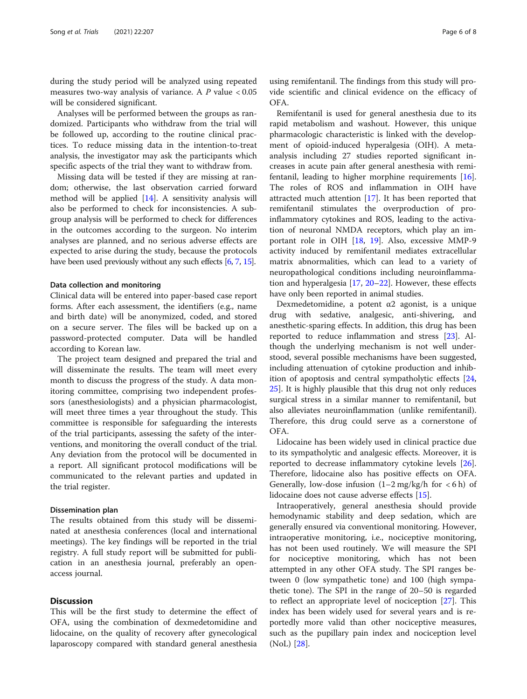during the study period will be analyzed using repeated measures two-way analysis of variance. A  $P$  value  $< 0.05$ will be considered significant.

Analyses will be performed between the groups as randomized. Participants who withdraw from the trial will be followed up, according to the routine clinical practices. To reduce missing data in the intention-to-treat analysis, the investigator may ask the participants which specific aspects of the trial they want to withdraw from.

Missing data will be tested if they are missing at random; otherwise, the last observation carried forward method will be applied [[14](#page-6-0)]. A sensitivity analysis will also be performed to check for inconsistencies. A subgroup analysis will be performed to check for differences in the outcomes according to the surgeon. No interim analyses are planned, and no serious adverse effects are expected to arise during the study, because the protocols have been used previously without any such effects [\[6](#page-6-0), [7,](#page-6-0) [15](#page-6-0)].

# Data collection and monitoring

Clinical data will be entered into paper-based case report forms. After each assessment, the identifiers (e.g., name and birth date) will be anonymized, coded, and stored on a secure server. The files will be backed up on a password-protected computer. Data will be handled according to Korean law.

The project team designed and prepared the trial and will disseminate the results. The team will meet every month to discuss the progress of the study. A data monitoring committee, comprising two independent professors (anesthesiologists) and a physician pharmacologist, will meet three times a year throughout the study. This committee is responsible for safeguarding the interests of the trial participants, assessing the safety of the interventions, and monitoring the overall conduct of the trial. Any deviation from the protocol will be documented in a report. All significant protocol modifications will be communicated to the relevant parties and updated in the trial register.

#### Dissemination plan

The results obtained from this study will be disseminated at anesthesia conferences (local and international meetings). The key findings will be reported in the trial registry. A full study report will be submitted for publication in an anesthesia journal, preferably an openaccess journal.

# **Discussion**

This will be the first study to determine the effect of OFA, using the combination of dexmedetomidine and lidocaine, on the quality of recovery after gynecological laparoscopy compared with standard general anesthesia

using remifentanil. The findings from this study will provide scientific and clinical evidence on the efficacy of OFA.

Remifentanil is used for general anesthesia due to its rapid metabolism and washout. However, this unique pharmacologic characteristic is linked with the development of opioid-induced hyperalgesia (OIH). A metaanalysis including 27 studies reported significant increases in acute pain after general anesthesia with remifentanil, leading to higher morphine requirements [\[16](#page-6-0)]. The roles of ROS and inflammation in OIH have attracted much attention [[17\]](#page-6-0). It has been reported that remifentanil stimulates the overproduction of proinflammatory cytokines and ROS, leading to the activation of neuronal NMDA receptors, which play an important role in OIH [[18,](#page-7-0) [19\]](#page-7-0). Also, excessive MMP-9 activity induced by remifentanil mediates extracellular matrix abnormalities, which can lead to a variety of neuropathological conditions including neuroinflammation and hyperalgesia [\[17,](#page-6-0) [20](#page-7-0)–[22\]](#page-7-0). However, these effects have only been reported in animal studies.

Dexmedetomidine, a potent  $α2$  agonist, is a unique drug with sedative, analgesic, anti-shivering, and anesthetic-sparing effects. In addition, this drug has been reported to reduce inflammation and stress [[23\]](#page-7-0). Although the underlying mechanism is not well understood, several possible mechanisms have been suggested, including attenuation of cytokine production and inhibition of apoptosis and central sympatholytic effects [[24](#page-7-0), [25\]](#page-7-0). It is highly plausible that this drug not only reduces surgical stress in a similar manner to remifentanil, but also alleviates neuroinflammation (unlike remifentanil). Therefore, this drug could serve as a cornerstone of OFA.

Lidocaine has been widely used in clinical practice due to its sympatholytic and analgesic effects. Moreover, it is reported to decrease inflammatory cytokine levels [\[26](#page-7-0)]. Therefore, lidocaine also has positive effects on OFA. Generally, low-dose infusion  $(1-2 \text{ mg/kg/h}$  for  $\lt 6 \text{ h})$  of lidocaine does not cause adverse effects [[15\]](#page-6-0).

Intraoperatively, general anesthesia should provide hemodynamic stability and deep sedation, which are generally ensured via conventional monitoring. However, intraoperative monitoring, i.e., nociceptive monitoring, has not been used routinely. We will measure the SPI for nociceptive monitoring, which has not been attempted in any other OFA study. The SPI ranges between 0 (low sympathetic tone) and 100 (high sympathetic tone). The SPI in the range of 20–50 is regarded to reflect an appropriate level of nociception [\[27\]](#page-7-0). This index has been widely used for several years and is reportedly more valid than other nociceptive measures, such as the pupillary pain index and nociception level (NoL) [\[28](#page-7-0)].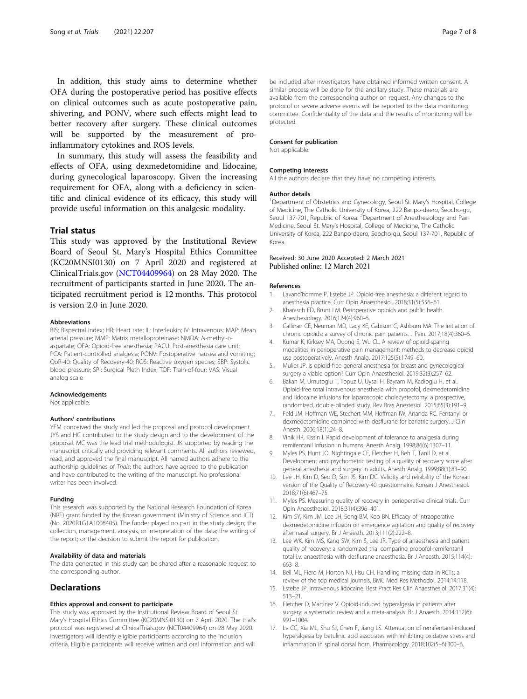<span id="page-6-0"></span>In addition, this study aims to determine whether OFA during the postoperative period has positive effects on clinical outcomes such as acute postoperative pain, shivering, and PONV, where such effects might lead to better recovery after surgery. These clinical outcomes will be supported by the measurement of proinflammatory cytokines and ROS levels.

In summary, this study will assess the feasibility and effects of OFA, using dexmedetomidine and lidocaine, during gynecological laparoscopy. Given the increasing requirement for OFA, along with a deficiency in scientific and clinical evidence of its efficacy, this study will provide useful information on this analgesic modality.

# Trial status

This study was approved by the Institutional Review Board of Seoul St. Mary's Hospital Ethics Committee (KC20MNSI0130) on 7 April 2020 and registered at ClinicalTrials.gov [\(NCT04409964](https://clinicaltrials.gov/ct2/show/NCT04409964)) on 28 May 2020. The recruitment of participants started in June 2020. The anticipated recruitment period is 12 months. This protocol is version 2.0 in June 2020.

#### Abbreviations

BIS: Bispectral index; HR: Heart rate; IL: Interleukin; IV: Intravenous; MAP: Mean arterial pressure; MMP: Matrix metalloproteinase; NMDA: N-methyl-Daspartate; OFA: Opioid-free anesthesia; PACU: Post-anesthesia care unit; PCA: Patient-controlled analgesia; PONV: Postoperative nausea and vomiting; QoR-40: Quality of Recovery-40; ROS: Reactive oxygen species; SBP: Systolic blood pressure; SPI: Surgical Pleth Index; TOF: Train-of-four; VAS: Visual analog scale

#### Acknowledgements

Not applicable.

#### Authors' contributions

YEM conceived the study and led the proposal and protocol development. JYS and HC contributed to the study design and to the development of the proposal. MC was the lead trial methodologist. JK supported by reading the manuscript critically and providing relevant comments. All authors reviewed, read, and approved the final manuscript. All named authors adhere to the authorship guidelines of Trials; the authors have agreed to the publication and have contributed to the writing of the manuscript. No professional writer has been involved.

#### Funding

This research was supported by the National Research Foundation of Korea (NRF) grant funded by the Korean government (Ministry of Science and ICT) (No. 2020R1G1A1008405). The funder played no part in the study design; the collection, management, analysis, or interpretation of the data; the writing of the report; or the decision to submit the report for publication.

#### Availability of data and materials

The data generated in this study can be shared after a reasonable request to the corresponding author.

## Declarations

#### Ethics approval and consent to participate

This study was approved by the Institutional Review Board of Seoul St. Mary's Hospital Ethics Committee (KC20MNSI0130) on 7 April 2020. The trial's protocol was registered at ClinicalTrials.gov (NCT04409964) on 28 May 2020. Investigators will identify eligible participants according to the inclusion criteria. Eligible participants will receive written and oral information and will

be included after investigators have obtained informed written consent. A similar process will be done for the ancillary study. These materials are available from the corresponding author on request. Any changes to the protocol or severe adverse events will be reported to the data monitoring committee. Confidentiality of the data and the results of monitoring will be protected.

#### Consent for publication

Not applicable.

#### Competing interests

All the authors declare that they have no competing interests.

#### Author details

<sup>1</sup>Department of Obstetrics and Gynecology, Seoul St. Mary's Hospital, College of Medicine, The Catholic University of Korea, 222 Banpo-daero, Seocho-gu, Seoul 137-701, Republic of Korea. <sup>2</sup> Department of Anesthesiology and Pain Medicine, Seoul St. Mary's Hospital, College of Medicine, The Catholic University of Korea, 222 Banpo-daero, Seocho-gu, Seoul 137-701, Republic of Korea.

# Received: 30 June 2020 Accepted: 2 March 2021<br>Published online: 12 March 2021

#### References

- 1. Lavand'homme P, Estebe JP. Opioid-free anesthesia: a different regard to anesthesia practice. Curr Opin Anaesthesiol. 2018;31(5):556–61.
- 2. Kharasch ED, Brunt LM. Perioperative opioids and public health. Anesthesiology. 2016;124(4):960–5.
- 3. Callinan CE, Neuman MD, Lacy KE, Gabison C, Ashburn MA. The initiation of chronic opioids: a survey of chronic pain patients. J Pain. 2017;18(4):360–5.
- 4. Kumar K, Kirksey MA, Duong S, Wu CL. A review of opioid-sparing modalities in perioperative pain management: methods to decrease opioid use postoperatively. Anesth Analg. 2017;125(5):1749–60.
- 5. Mulier JP. Is opioid-free general anesthesia for breast and gynecological surgery a viable option? Curr Opin Anaesthesiol. 2019;32(3):257–62.
- 6. Bakan M, Umutoglu T, Topuz U, Uysal H, Bayram M, Kadioglu H, et al. Opioid-free total intravenous anesthesia with propofol, dexmedetomidine and lidocaine infusions for laparoscopic cholecystectomy: a prospective, randomized, double-blinded study. Rev Bras Anestesiol. 2015;65(3):191–9.
- 7. Feld JM, Hoffman WE, Stechert MM, Hoffman IW, Ananda RC. Fentanyl or dexmedetomidine combined with desflurane for bariatric surgery. J Clin Anesth. 2006;18(1):24–8.
- 8. Vinik HR, Kissin I. Rapid development of tolerance to analgesia during remifentanil infusion in humans. Anesth Analg. 1998;86(6):1307–11.
- 9. Myles PS, Hunt JO, Nightingale CE, Fletcher H, Beh T, Tanil D, et al. Development and psychometric testing of a quality of recovery score after general anesthesia and surgery in adults. Anesth Analg. 1999;88(1):83–90.
- 10. Lee JH, Kim D, Seo D, Son JS, Kim DC. Validity and reliability of the Korean version of the Quality of Recovery-40 questionnaire. Korean J Anesthesiol. 2018;71(6):467–75.
- 11. Myles PS. Measuring quality of recovery in perioperative clinical trials. Curr Opin Anaesthesiol. 2018;31(4):396–401.
- 12. Kim SY, Kim JM, Lee JH, Song BM, Koo BN. Efficacy of intraoperative dexmedetomidine infusion on emergence agitation and quality of recovery after nasal surgery. Br J Anaesth. 2013;111(2):222–8.
- 13. Lee WK, Kim MS, Kang SW, Kim S, Lee JR. Type of anaesthesia and patient quality of recovery: a randomized trial comparing propofol-remifentanil total i.v. anaesthesia with desflurane anaesthesia. Br J Anaesth. 2015;114(4): 663–8.
- 14. Bell ML, Fiero M, Horton NJ, Hsu CH. Handling missing data in RCTs; a review of the top medical journals. BMC Med Res Methodol. 2014;14:118.
- 15. Estebe JP. Intravenous lidocaine. Best Pract Res Clin Anaesthesiol. 2017;31(4): 513–21.
- 16. Fletcher D, Martinez V. Opioid-induced hyperalgesia in patients after surgery: a systematic review and a meta-analysis. Br J Anaesth. 2014;112(6): 991–1004.
- 17. Lv CC, Xia ML, Shu SJ, Chen F, Jiang LS. Attenuation of remifentanil-induced hyperalgesia by betulinic acid associates with inhibiting oxidative stress and inflammation in spinal dorsal horn. Pharmacology. 2018;102(5–6):300–6.